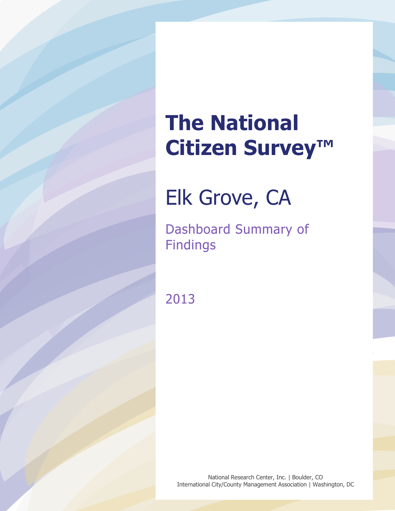# **The National Citizen Survey™**

## Elk Grove, CA

Dashboard Summary of Findings

2013

National Research Center, Inc. | Boulder, CO International City/County Management Association | Washington, DC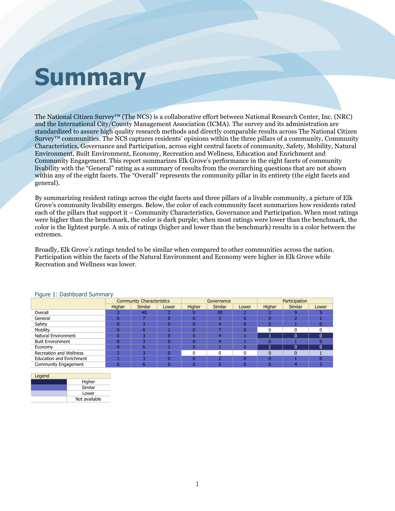# **Summary**

The National Citizen Survey™ (The NCS) is a collaborative effort between National Research Center, Inc. (NRC) and the International City/County Management Association (ICMA). The survey and its administration are standardized to assure high quality research methods and directly comparable results across The National Citizen Survey<sup>™</sup> communities. The NCS captures residents' opinions within the three pillars of a community, Community Characteristics, Governance and Participation, across eight central facets of community, Safety, Mobility, Natural Environment, Built Environment, Economy, Recreation and Wellness, Education and Enrichment and Community Engagement. This report summarizes Elk Grove's performance in the eight facets of community livability with the "General" rating as a summary of results from the overarching questions that are not shown within any of the eight facets. The "Overall" represents the community pillar in its entirety (the eight facets and general).

By summarizing resident ratings across the eight facets and three pillars of a livable community, a picture of Elk Grove's community livability emerges. Below, the color of each community facet summarizes how residents rated each of the pillars that support it – Community Characteristics, Governance and Participation. When most ratings were higher than the benchmark, the color is dark purple; when most ratings were lower than the benchmark, the color is the lightest purple. A mix of ratings (higher and lower than the benchmark) results in a color between the extremes.

Broadly, Elk Grove's ratings tended to be similar when compared to other communities across the nation. Participation within the facets of the Natural Environment and Economy were higher in Elk Grove while Recreation and Wellness was lower.

|                                 | <b>Community Characteristics</b> |                |       |        | Governance     |       | Participation |                |       |  |
|---------------------------------|----------------------------------|----------------|-------|--------|----------------|-------|---------------|----------------|-------|--|
|                                 | Higher                           | <b>Similar</b> | Lower | Higher | <b>Similar</b> | Lower | Higher        | <b>Similar</b> | Lower |  |
| Overall                         |                                  | 40             |       |        | 30             |       |               |                |       |  |
| General                         |                                  |                |       |        |                |       |               |                |       |  |
| Safety                          |                                  |                | O.    |        |                |       |               |                |       |  |
| Mobility                        |                                  | 6              |       |        |                |       |               |                |       |  |
| <b>Natural Environment</b>      |                                  |                |       |        |                |       |               | $\Omega$       | ŋ     |  |
| <b>Built Environment</b>        |                                  |                |       |        |                |       |               |                |       |  |
| Economy                         |                                  | h              |       |        |                |       |               | 0              |       |  |
| <b>Recreation and Wellness</b>  |                                  |                |       |        |                |       |               |                |       |  |
| <b>Education and Enrichment</b> |                                  |                |       |        |                |       |               |                |       |  |
| Community Engagement            |                                  |                |       |        |                |       |               |                |       |  |

### Figure 1: Dashboard Summary

| Legend |               |  |  |  |  |  |  |
|--------|---------------|--|--|--|--|--|--|
|        | Higher        |  |  |  |  |  |  |
|        | Similar       |  |  |  |  |  |  |
|        | Lower         |  |  |  |  |  |  |
|        | Not available |  |  |  |  |  |  |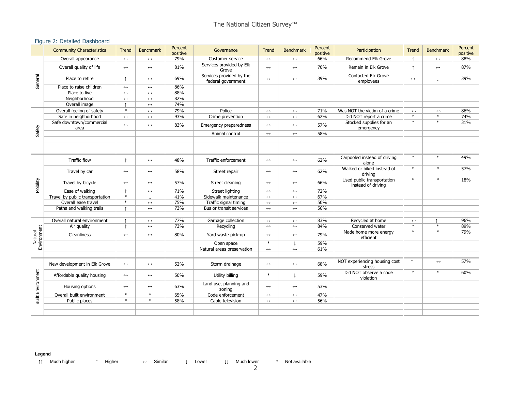### Figure 2: Detailed Dashboard

|                          | <b>Community Characteristics</b> | Trend                 | Benchmark             | Percent<br>positive | Governance                                     | <b>Trend</b>          | <b>Benchmark</b>      | Percent<br>positive | Participation                                    | Trend             | <b>Benchmark</b>      | Percent<br>positive |
|--------------------------|----------------------------------|-----------------------|-----------------------|---------------------|------------------------------------------------|-----------------------|-----------------------|---------------------|--------------------------------------------------|-------------------|-----------------------|---------------------|
| General                  | Overall appearance               | $\longleftrightarrow$ | $\longleftrightarrow$ | 79%                 | Customer service                               | $\leftrightarrow$     | $\longleftrightarrow$ | 66%                 | Recommend Elk Grove                              |                   | $\leftrightarrow$     | 88%                 |
|                          | Overall quality of life          | $\leftrightarrow$     | $\leftrightarrow$     | 81%                 | Services provided by Elk<br>Grove              | $\leftrightarrow$     | $\leftrightarrow$     | 70%                 | Remain in Elk Grove                              |                   | $\leftrightarrow$     | 87%                 |
|                          | Place to retire                  | $\uparrow$            | $\leftrightarrow$     | 69%                 | Services provided by the<br>federal government | $\longleftrightarrow$ | $\longleftrightarrow$ | 39%                 | <b>Contacted Elk Grove</b><br>employees          | $\leftrightarrow$ | T                     | 39%                 |
|                          | Place to raise children          | $\leftrightarrow$     | $\leftrightarrow$     | 86%                 |                                                |                       |                       |                     |                                                  |                   |                       |                     |
|                          | Place to live                    | $\leftrightarrow$     | $\leftrightarrow$     | 88%                 |                                                |                       |                       |                     |                                                  |                   |                       |                     |
|                          | Neighborhood                     | $\leftrightarrow$     | $\leftrightarrow$     | 82%                 |                                                |                       |                       |                     |                                                  |                   |                       |                     |
|                          | Overall image                    | $\uparrow$            | $\leftrightarrow$     | 74%                 |                                                |                       |                       |                     |                                                  |                   |                       |                     |
|                          | Overall feeling of safety        | $\ast$                | $\leftrightarrow$     | 79%                 | Police                                         | $\longleftrightarrow$ | $\longleftrightarrow$ | 71%                 | Was NOT the victim of a crime                    | $\leftrightarrow$ | $\leftrightarrow$     | 86%                 |
|                          | Safe in neighborhood             | $\leftrightarrow$     | $\leftrightarrow$     | 93%                 | Crime prevention                               | $\leftrightarrow$     | $\leftrightarrow$     | 62%                 | Did NOT report a crime                           | $*$               | $*$                   | 74%                 |
| Safety                   | Safe downtown/commercial<br>area | $\leftrightarrow$     | $\leftrightarrow$     | 83%                 | Emergency preparedness                         | $\leftrightarrow$     | $\leftrightarrow$     | 57%                 | Stocked supplies for an<br>emergency             | $\ast$            | $\ast$                | 31%                 |
|                          |                                  |                       |                       |                     | Animal control                                 | $\leftrightarrow$     | $\leftrightarrow$     | 58%                 |                                                  |                   |                       |                     |
|                          |                                  |                       |                       |                     |                                                |                       |                       |                     |                                                  |                   |                       |                     |
|                          |                                  |                       |                       |                     |                                                |                       |                       |                     |                                                  |                   |                       |                     |
|                          |                                  |                       |                       |                     |                                                |                       |                       |                     |                                                  |                   |                       |                     |
|                          | <b>Traffic flow</b>              | $\uparrow$            | $\leftrightarrow$     | 48%                 | Traffic enforcement                            | $\leftrightarrow$     | $\leftrightarrow$     | 62%                 | Carpooled instead of driving<br>alone            | $\ast$            | $\ast$                | 49%                 |
|                          | Travel by car                    | $\longleftrightarrow$ | $\leftrightarrow$     | 58%                 | Street repair                                  | $\leftrightarrow$     | $\longleftrightarrow$ | 62%                 | Walked or biked instead of<br>drivina            | $\ast$            | $\ast$                | 57%                 |
| Mobility                 | Travel by bicycle                | $\leftrightarrow$     | $\leftrightarrow$     | 57%                 | Street cleaning                                | $\leftrightarrow$     | $\leftrightarrow$     | 66%                 | Used public transportation<br>instead of driving | $\ast$            | $\ast$                | 18%                 |
|                          | Ease of walking                  |                       | $\longleftrightarrow$ | 71%                 | Street lighting                                | $\longleftrightarrow$ | $\longleftrightarrow$ | 72%                 |                                                  |                   |                       |                     |
|                          | Travel by public transportation  | $\ast$                |                       | 41%                 | Sidewalk maintenance                           | $\leftrightarrow$     | $\leftrightarrow$     | 67%                 |                                                  |                   |                       |                     |
|                          | Overall ease travel              | $\ast$                | $\leftrightarrow$     | 75%                 | Traffic signal timing                          | $\leftrightarrow$     | $\leftrightarrow$     | 50%                 |                                                  |                   |                       |                     |
|                          | Paths and walking trails         |                       | $\leftrightarrow$     | 73%                 | Bus or transit services                        | $\leftrightarrow$     | $\longleftrightarrow$ | 56%                 |                                                  |                   |                       |                     |
|                          |                                  |                       |                       |                     |                                                |                       |                       |                     |                                                  |                   |                       |                     |
|                          | Overall natural environment      | $\uparrow$            | $\leftrightarrow$     | 77%                 | Garbage collection                             | $\leftrightarrow$     | $\leftrightarrow$     | 83%                 | Recycled at home                                 | $\leftrightarrow$ | $\uparrow$            | 96%                 |
|                          | Air quality                      |                       | $\leftrightarrow$     | 73%                 | Recycling                                      | $\leftrightarrow$     | $\longleftrightarrow$ | 84%                 | Conserved water                                  | $\ast$            | $\ast$                | 89%                 |
| Environment<br>Natural   | Cleanliness                      | $\leftrightarrow$     | $\leftrightarrow$     | 80%                 | Yard waste pick-up                             | $\leftrightarrow$     | $\longleftrightarrow$ | 79%                 | Made home more energy<br>efficient               | $\ast$            | $\ast$                | 79%                 |
|                          |                                  |                       |                       |                     | Open space                                     | $\ast$                |                       | 59%                 |                                                  |                   |                       |                     |
|                          |                                  |                       |                       |                     | Natural areas preservation                     | $\longleftrightarrow$ | $\longleftrightarrow$ | 61%                 |                                                  |                   |                       |                     |
|                          |                                  |                       |                       |                     |                                                |                       |                       |                     |                                                  |                   |                       |                     |
| <b>Built Environment</b> | New development in Elk Grove     | $\leftrightarrow$     | $\leftrightarrow$     | 52%                 | Storm drainage                                 | $\leftrightarrow$     | $\longleftrightarrow$ | 68%                 | NOT experiencing housing cost<br>stress          | $\uparrow$        | $\longleftrightarrow$ | 57%                 |
|                          | Affordable quality housing       | $\leftrightarrow$     | $\leftrightarrow$     | 50%                 | Utility billing                                | $\ast$                |                       | 59%                 | Did NOT observe a code<br>violation              | $\ast$            | $\ast$                | 60%                 |
|                          | Housing options                  | $\leftrightarrow$     | $\leftrightarrow$     | 63%                 | Land use, planning and<br>zoning               | $\leftrightarrow$     | $\leftrightarrow$     | 53%                 |                                                  |                   |                       |                     |
|                          | Overall built environment        | $\ast$                | $\ast$                | 65%                 | Code enforcement                               | $\leftrightarrow$     | $\longleftrightarrow$ | 47%                 |                                                  |                   |                       |                     |
|                          | Public places                    | $\ast$                | $\ast$                | 58%                 | Cable television                               | $\leftrightarrow$     | $\leftrightarrow$     | 56%                 |                                                  |                   |                       |                     |
|                          |                                  |                       |                       |                     |                                                |                       |                       |                     |                                                  |                   |                       |                     |
|                          |                                  |                       |                       |                     |                                                |                       |                       |                     |                                                  |                   |                       |                     |

#### **Legend**

↑↑ Much higher ↑ Higher ↔ Similar ↓ Lower ↓↓ Much lower \* Not available

2